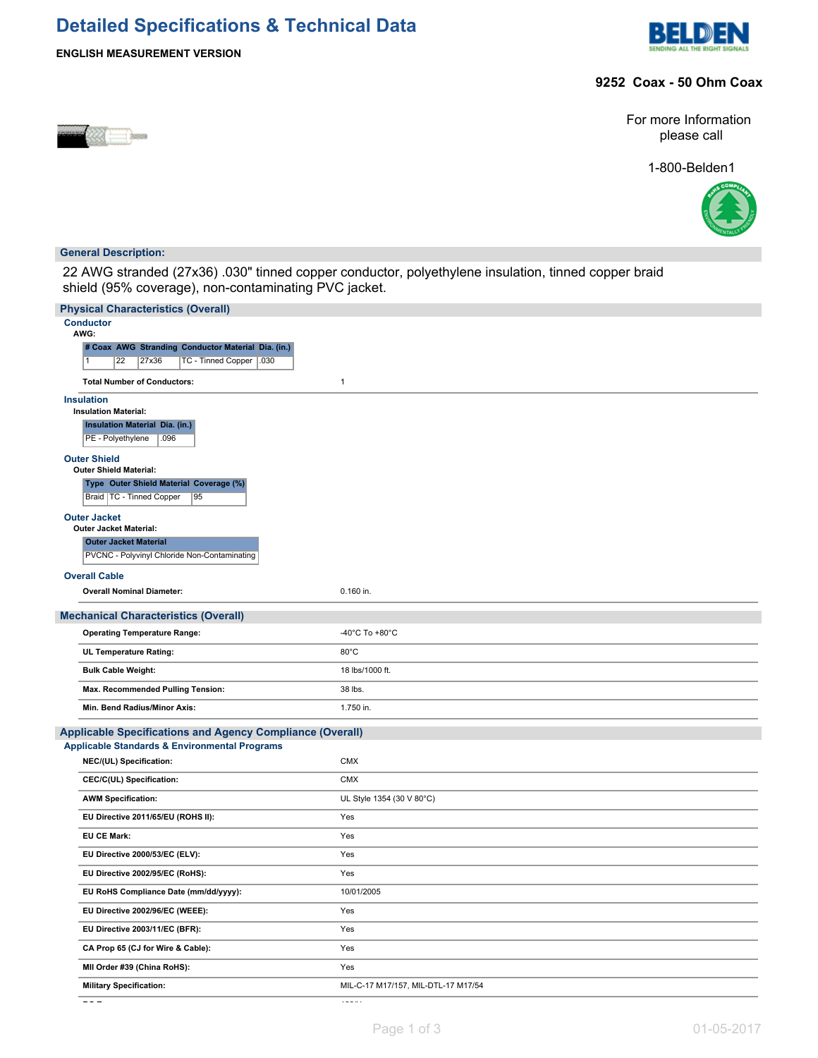# **Detailed Specifications & Technical Data**





## **9252 Coax - 50 Ohm Coax**



For more Information please call

1-800-Belden1



### **General Description:**

22 AWG stranded (27x36) .030" tinned copper conductor, polyethylene insulation, tinned copper braid shield (95% coverage), non-contaminating PVC jacket.

| <b>Physical Characteristics (Overall)</b>                                |                                     |
|--------------------------------------------------------------------------|-------------------------------------|
| <b>Conductor</b><br>AWG:                                                 |                                     |
| # Coax AWG Stranding Conductor Material Dia. (in.)                       |                                     |
| $\overline{22}$<br>TC - Tinned Copper   .030<br>$\overline{1}$<br>27x36  |                                     |
| <b>Total Number of Conductors:</b>                                       | $\mathbf{1}$                        |
| <b>Insulation</b>                                                        |                                     |
| <b>Insulation Material:</b>                                              |                                     |
| <b>Insulation Material Dia. (in.)</b>                                    |                                     |
| PE - Polyethylene<br>.096                                                |                                     |
| <b>Outer Shield</b>                                                      |                                     |
| <b>Outer Shield Material:</b><br>Type Outer Shield Material Coverage (%) |                                     |
| Braid   TC - Tinned Copper<br>$\overline{95}$                            |                                     |
| <b>Outer Jacket</b>                                                      |                                     |
| <b>Outer Jacket Material:</b>                                            |                                     |
| <b>Outer Jacket Material</b>                                             |                                     |
| PVCNC - Polyvinyl Chloride Non-Contaminating                             |                                     |
| <b>Overall Cable</b>                                                     |                                     |
| <b>Overall Nominal Diameter:</b>                                         | 0.160 in.                           |
| <b>Mechanical Characteristics (Overall)</b>                              |                                     |
| <b>Operating Temperature Range:</b>                                      | -40°C To +80°C                      |
| UL Temperature Rating:                                                   | 80°C                                |
| <b>Bulk Cable Weight:</b>                                                | 18 lbs/1000 ft.                     |
| Max. Recommended Pulling Tension:                                        | 38 lbs.                             |
| Min. Bend Radius/Minor Axis:                                             | 1.750 in.                           |
| <b>Applicable Specifications and Agency Compliance (Overall)</b>         |                                     |
| <b>Applicable Standards &amp; Environmental Programs</b>                 |                                     |
| NEC/(UL) Specification:                                                  | <b>CMX</b>                          |
| CEC/C(UL) Specification:                                                 | <b>CMX</b>                          |
| <b>AWM Specification:</b>                                                | UL Style 1354 (30 V 80°C)           |
| EU Directive 2011/65/EU (ROHS II):                                       | Yes                                 |
| <b>EU CE Mark:</b>                                                       | Yes                                 |
| EU Directive 2000/53/EC (ELV):                                           | Yes                                 |
| EU Directive 2002/95/EC (RoHS):                                          | Yes                                 |
| EU RoHS Compliance Date (mm/dd/yyyy):                                    | 10/01/2005                          |
| EU Directive 2002/96/EC (WEEE):                                          | Yes                                 |
| EU Directive 2003/11/EC (BFR):                                           | Yes                                 |
| CA Prop 65 (CJ for Wire & Cable):                                        | Yes                                 |
| MII Order #39 (China RoHS):                                              | Yes                                 |
| <b>Military Specification:</b>                                           | MIL-C-17 M17/157, MIL-DTL-17 M17/54 |
|                                                                          |                                     |

**RG Type:** 122/U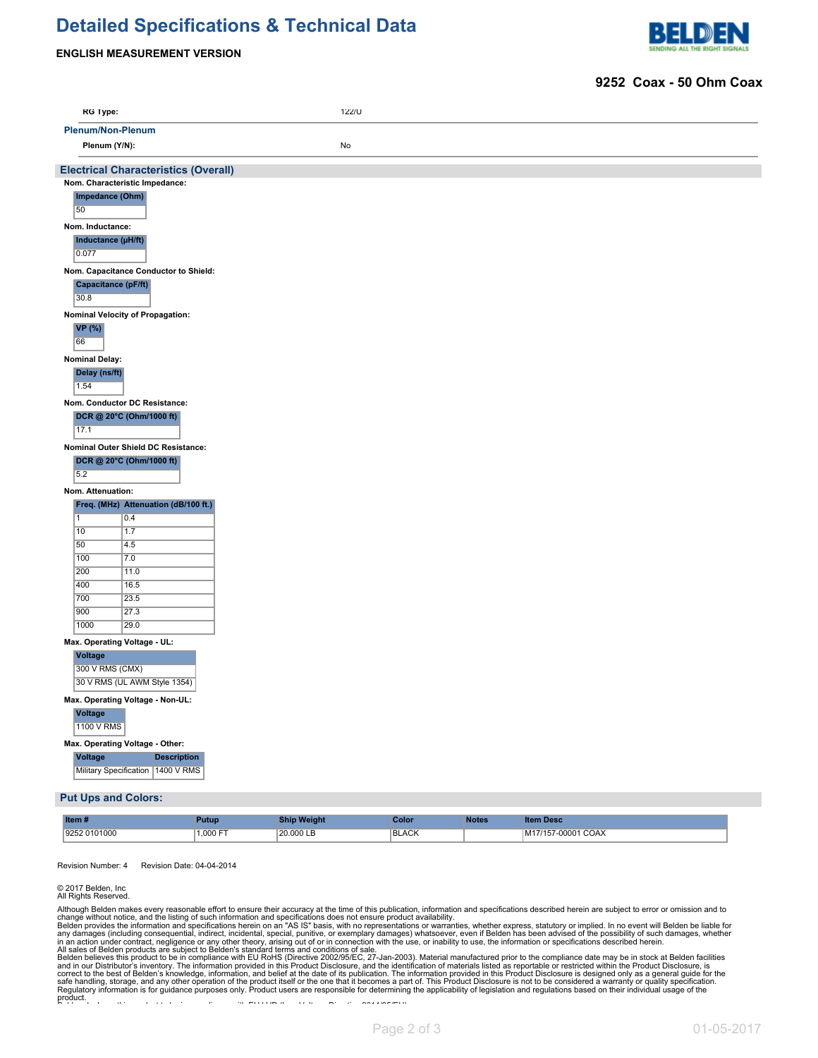# **Detailed Specifications & Technical Data**





#### **9252 Coax - 50 Ohm Coax**

| <b>RG Type:</b>                                                             | 122/U |  |  |
|-----------------------------------------------------------------------------|-------|--|--|
| <b>Plenum/Non-Plenum</b>                                                    |       |  |  |
| Plenum (Y/N):                                                               | No    |  |  |
| <b>Electrical Characteristics (Overall)</b>                                 |       |  |  |
| Nom. Characteristic Impedance:                                              |       |  |  |
| Impedance (Ohm)<br>50                                                       |       |  |  |
| Nom. Inductance:                                                            |       |  |  |
| Inductance (µH/ft)<br>0.077                                                 |       |  |  |
| Nom. Capacitance Conductor to Shield:                                       |       |  |  |
| Capacitance (pF/ft)<br>30.8                                                 |       |  |  |
| Nominal Velocity of Propagation:                                            |       |  |  |
| VP(%)<br>66                                                                 |       |  |  |
| <b>Nominal Delay:</b>                                                       |       |  |  |
| Delay (ns/ft)<br>1.54                                                       |       |  |  |
| Nom. Conductor DC Resistance:                                               |       |  |  |
| DCR @ 20°C (Ohm/1000 ft)<br>17.1                                            |       |  |  |
| Nominal Outer Shield DC Resistance:                                         |       |  |  |
| DCR @ 20°C (Ohm/1000 ft)<br>5.2                                             |       |  |  |
| Nom. Attenuation:                                                           |       |  |  |
| Freq. (MHz) Attenuation (dB/100 ft.)                                        |       |  |  |
| $\overline{1}$<br>0.4                                                       |       |  |  |
| 10<br>1.7                                                                   |       |  |  |
| 50<br>4.5<br>100<br>7.0                                                     |       |  |  |
| 200<br>11.0                                                                 |       |  |  |
| 400<br>16.5                                                                 |       |  |  |
| 700<br>23.5                                                                 |       |  |  |
| 900<br>27.3                                                                 |       |  |  |
| 1000<br>29.0                                                                |       |  |  |
| Max. Operating Voltage - UL:<br>Voltage<br>300 V RMS (CMX)                  |       |  |  |
| 30 V RMS (UL AWM Style 1354)                                                |       |  |  |
| Max. Operating Voltage - Non-UL:<br>Voltage<br><b>1100 V RMS</b>            |       |  |  |
| Max. Operating Voltage - Other:                                             |       |  |  |
| <b>Description</b><br><b>Voltage</b><br>Military Specification   1400 V RMS |       |  |  |
| <b>Put Ups and Colors:</b>                                                  |       |  |  |

| Item#        | Putup   | Ship Weiaht | Color        | <b>Notes</b> | <b>Item Desc.</b>            |
|--------------|---------|-------------|--------------|--------------|------------------------------|
| 9252 0101000 | .000 FT | 20,000 LB   | <b>BLACK</b> |              | <b>COAX</b><br>$-00001$<br>. |

Revision Number: 4 Revision Date: 04-04-2014

#### © 2017 Belden, Inc All Rights Reserved.

Although Belden makes every reasonable effort to ensure their accuracy at the time of this publication, information and specifications described herein are subject to error or omission and to change without notice, and the